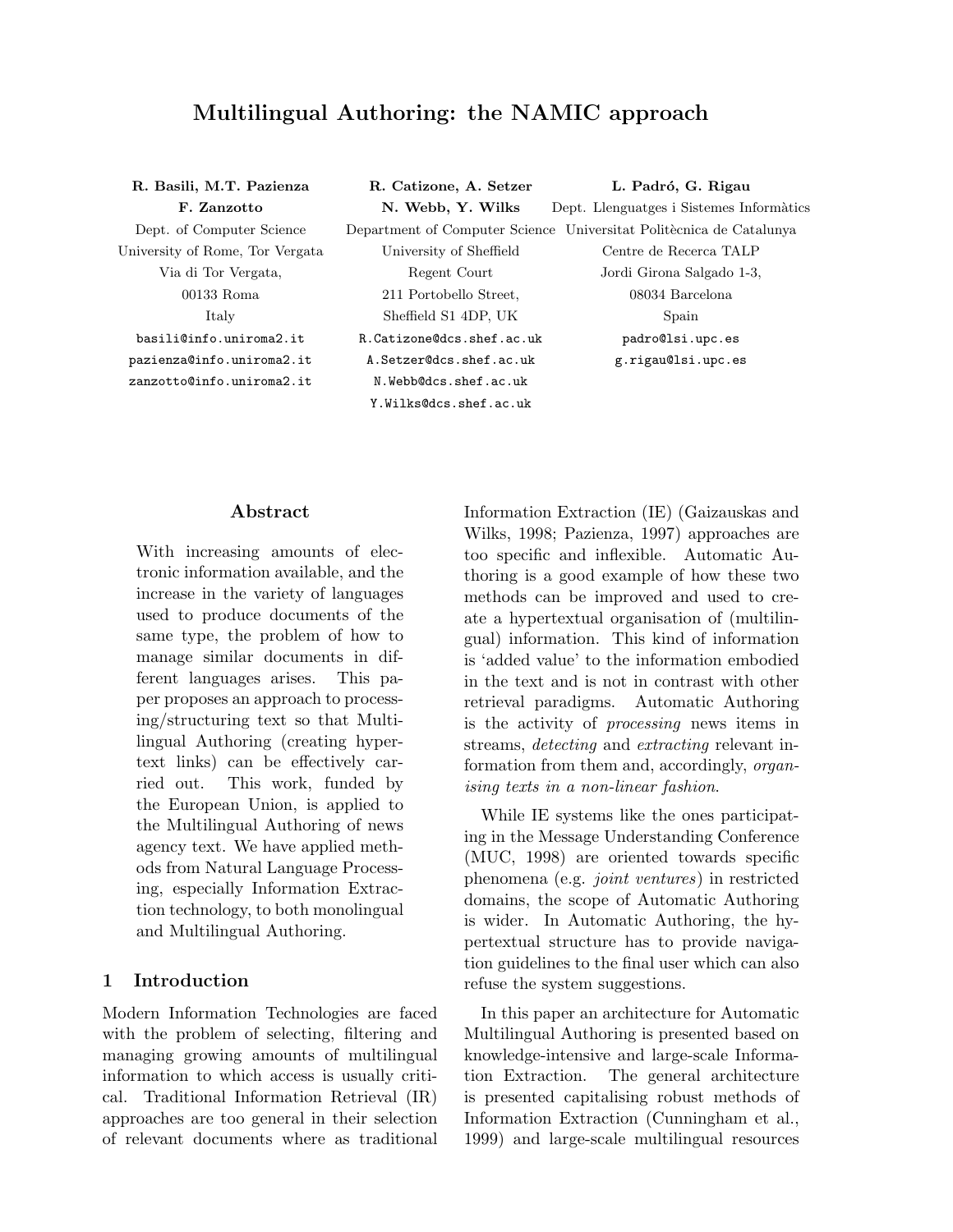# Multilingual Authoring: the NAMIC approach

| R. Basili, M.T. Pazienza        | R. Catizone, A. Setzer     | L. Padró, G. Rigau                                                  |
|---------------------------------|----------------------------|---------------------------------------------------------------------|
| F. Zanzotto                     | N. Webb, Y. Wilks          | Dept. Llenguatges i Sistemes Informàtics                            |
| Dept. of Computer Science       |                            | Department of Computer Science Universitat Politècnica de Catalunya |
| University of Rome, Tor Vergata | University of Sheffield    | Centre de Recerca TALP                                              |
| Via di Tor Vergata,             | Regent Court               | Jordi Girona Salgado 1-3,                                           |
| $00133$ Roma                    | 211 Portobello Street.     | 08034 Barcelona                                                     |
| Italy                           | Sheffield S1 4DP, UK       | Spain                                                               |
| basili@info.uniroma2.it         | R. Catizone@dcs.shef.ac.uk | padro@lsi.upc.es                                                    |
| pazienza@info.uniroma2.it       | A. Setzer@dcs.shef.ac.uk   | g.rigau@lsi.upc.es                                                  |
| zanzotto@info.inirona2.it       | N.Webb@dcs.shef.ac.uk      |                                                                     |
|                                 | Y.Wilks@dcs.shef.ac.uk     |                                                                     |

#### Abstract

With increasing amounts of electronic information available, and the increase in the variety of languages used to produce documents of the same type, the problem of how to manage similar documents in different languages arises. This paper proposes an approach to processing/structuring text so that Multilingual Authoring (creating hypertext links) can be effectively carried out. This work, funded by the European Union, is applied to the Multilingual Authoring of news agency text. We have applied methods from Natural Language Processing, especially Information Extraction technology, to both monolingual and Multilingual Authoring.

#### 1 Introduction

Modern Information Technologies are faced with the problem of selecting, filtering and managing growing amounts of multilingual information to which access is usually critical. Traditional Information Retrieval (IR) approaches are too general in their selection of relevant documents where as traditional Information Extraction (IE) (Gaizauskas and Wilks, 1998; Pazienza, 1997) approaches are too specific and inflexible. Automatic Authoring is a good example of how these two methods can be improved and used to create a hypertextual organisation of (multilingual) information. This kind of information is 'added value' to the information embodied in the text and is not in contrast with other retrieval paradigms. Automatic Authoring is the activity of processing news items in streams, detecting and extracting relevant information from them and, accordingly, organising texts in a non-linear fashion.

While IE systems like the ones participating in the Message Understanding Conference (MUC, 1998) are oriented towards specific phenomena (e.g. joint ventures) in restricted domains, the scope of Automatic Authoring is wider. In Automatic Authoring, the hypertextual structure has to provide navigation guidelines to the final user which can also refuse the system suggestions.

In this paper an architecture for Automatic Multilingual Authoring is presented based on knowledge-intensive and large-scale Information Extraction. The general architecture is presented capitalising robust methods of Information Extraction (Cunningham et al., 1999) and large-scale multilingual resources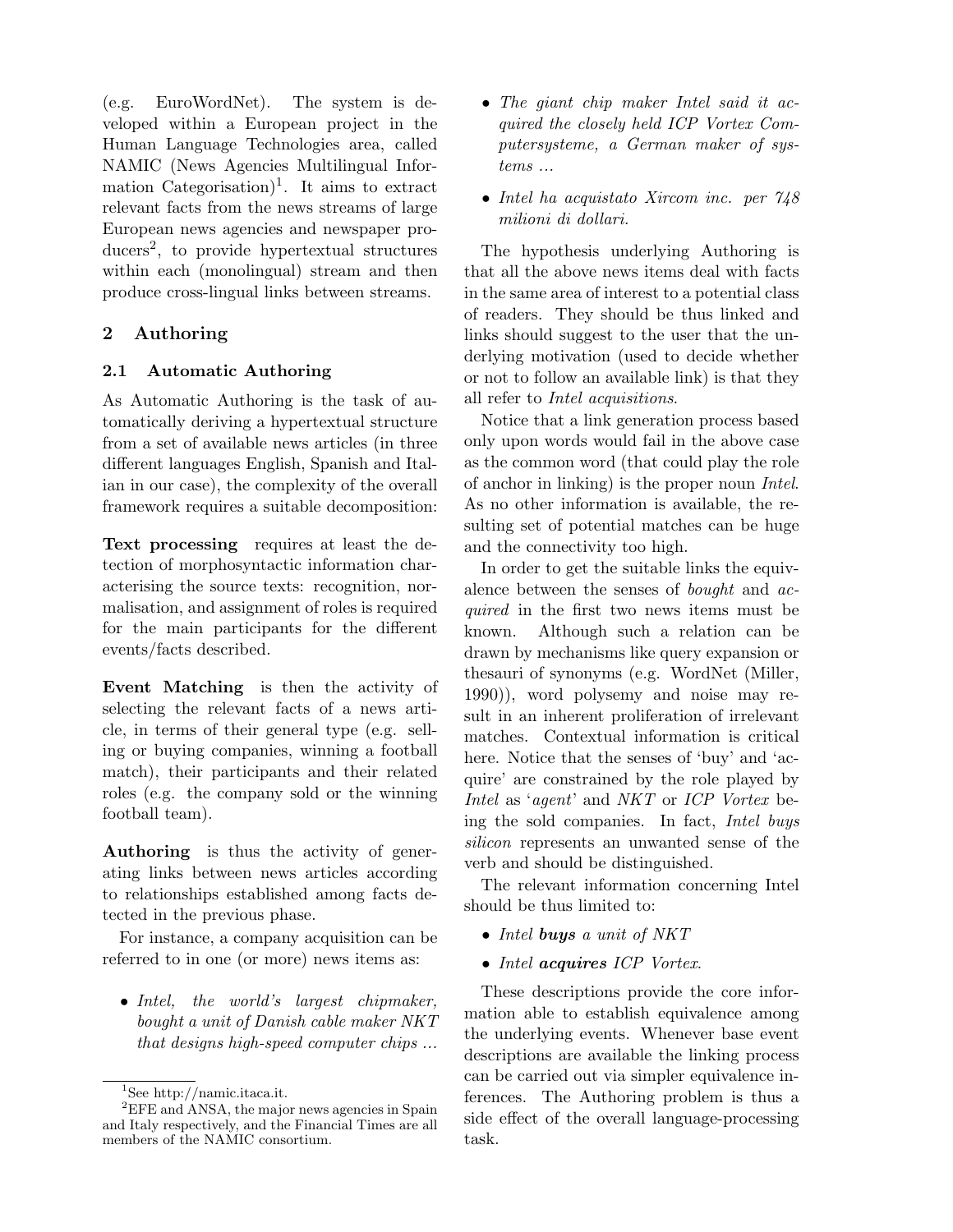(e.g. EuroWordNet). The system is developed within a European project in the Human Language Technologies area, called NAMIC (News Agencies Multilingual Information Categorisation<sup> $)$ 1</sup>. It aims to extract relevant facts from the news streams of large European news agencies and newspaper producers<sup>2</sup> , to provide hypertextual structures within each (monolingual) stream and then produce cross-lingual links between streams.

# 2 Authoring

## 2.1 Automatic Authoring

As Automatic Authoring is the task of automatically deriving a hypertextual structure from a set of available news articles (in three different languages English, Spanish and Italian in our case), the complexity of the overall framework requires a suitable decomposition:

Text processing requires at least the detection of morphosyntactic information characterising the source texts: recognition, normalisation, and assignment of roles is required for the main participants for the different events/facts described.

Event Matching is then the activity of selecting the relevant facts of a news article, in terms of their general type (e.g. selling or buying companies, winning a football match), their participants and their related roles (e.g. the company sold or the winning football team).

Authoring is thus the activity of generating links between news articles according to relationships established among facts detected in the previous phase.

For instance, a company acquisition can be referred to in one (or more) news items as:

• Intel, the world's largest chipmaker, bought a unit of Danish cable maker NKT that designs high-speed computer chips ...

- The giant chip maker Intel said it acquired the closely held ICP Vortex Computersysteme, a German maker of systems ...
- Intel ha acquistato Xircom inc. per  $748$ milioni di dollari.

The hypothesis underlying Authoring is that all the above news items deal with facts in the same area of interest to a potential class of readers. They should be thus linked and links should suggest to the user that the underlying motivation (used to decide whether or not to follow an available link) is that they all refer to Intel acquisitions.

Notice that a link generation process based only upon words would fail in the above case as the common word (that could play the role of anchor in linking) is the proper noun Intel. As no other information is available, the resulting set of potential matches can be huge and the connectivity too high.

In order to get the suitable links the equivalence between the senses of bought and acquired in the first two news items must be known. Although such a relation can be drawn by mechanisms like query expansion or thesauri of synonyms (e.g. WordNet (Miller, 1990)), word polysemy and noise may result in an inherent proliferation of irrelevant matches. Contextual information is critical here. Notice that the senses of 'buy' and 'acquire' are constrained by the role played by Intel as 'agent' and NKT or ICP Vortex being the sold companies. In fact, Intel buys silicon represents an unwanted sense of the verb and should be distinguished.

The relevant information concerning Intel should be thus limited to:

- Intel buys a unit of NKT
- Intel acquires ICP Vortex.

These descriptions provide the core information able to establish equivalence among the underlying events. Whenever base event descriptions are available the linking process can be carried out via simpler equivalence inferences. The Authoring problem is thus a side effect of the overall language-processing task.

 $\rm ^1See$ http://namic.itaca.it.

<sup>&</sup>lt;sup>2</sup>EFE and ANSA, the major news agencies in Spain and Italy respectively, and the Financial Times are all members of the NAMIC consortium.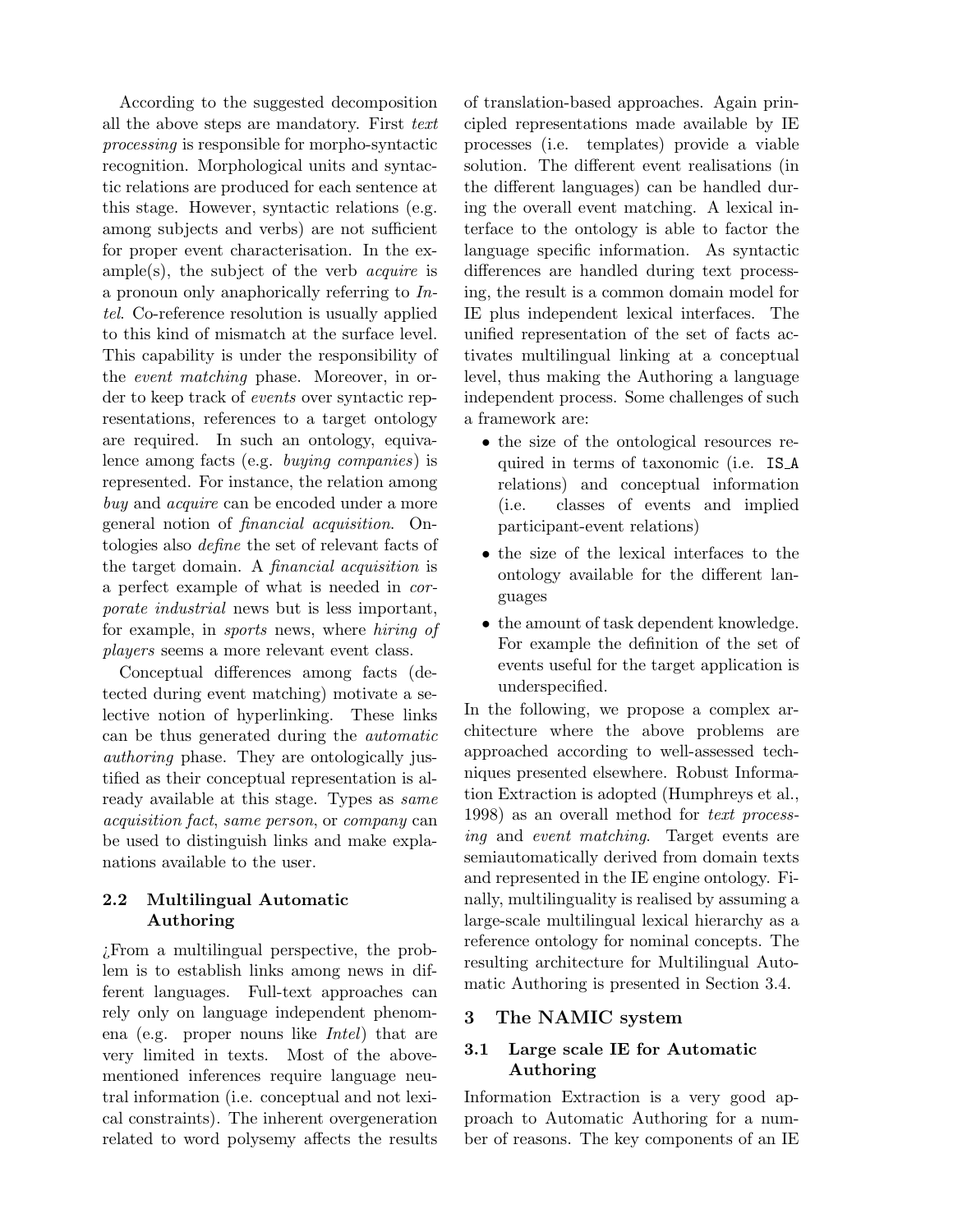According to the suggested decomposition all the above steps are mandatory. First text processing is responsible for morpho-syntactic recognition. Morphological units and syntactic relations are produced for each sentence at this stage. However, syntactic relations (e.g. among subjects and verbs) are not sufficient for proper event characterisation. In the ex $ample(s)$ , the subject of the verb *acquire* is a pronoun only anaphorically referring to Intel. Co-reference resolution is usually applied to this kind of mismatch at the surface level. This capability is under the responsibility of the event matching phase. Moreover, in order to keep track of events over syntactic representations, references to a target ontology are required. In such an ontology, equivalence among facts (e.g. buying companies) is represented. For instance, the relation among buy and *acquire* can be encoded under a more general notion of financial acquisition. Ontologies also define the set of relevant facts of the target domain. A financial acquisition is a perfect example of what is needed in corporate industrial news but is less important, for example, in sports news, where hiring of players seems a more relevant event class.

Conceptual differences among facts (detected during event matching) motivate a selective notion of hyperlinking. These links can be thus generated during the automatic authoring phase. They are ontologically justified as their conceptual representation is already available at this stage. Types as same acquisition fact, same person, or company can be used to distinguish links and make explanations available to the user.

## 2.2 Multilingual Automatic Authoring

¿From a multilingual perspective, the problem is to establish links among news in different languages. Full-text approaches can rely only on language independent phenomena (e.g. proper nouns like Intel) that are very limited in texts. Most of the abovementioned inferences require language neutral information (i.e. conceptual and not lexical constraints). The inherent overgeneration related to word polysemy affects the results of translation-based approaches. Again principled representations made available by IE processes (i.e. templates) provide a viable solution. The different event realisations (in the different languages) can be handled during the overall event matching. A lexical interface to the ontology is able to factor the language specific information. As syntactic differences are handled during text processing, the result is a common domain model for IE plus independent lexical interfaces. The unified representation of the set of facts activates multilingual linking at a conceptual level, thus making the Authoring a language independent process. Some challenges of such a framework are:

- the size of the ontological resources required in terms of taxonomic (i.e. IS A relations) and conceptual information (i.e. classes of events and implied participant-event relations)
- the size of the lexical interfaces to the ontology available for the different languages
- the amount of task dependent knowledge. For example the definition of the set of events useful for the target application is underspecified.

In the following, we propose a complex architecture where the above problems are approached according to well-assessed techniques presented elsewhere. Robust Information Extraction is adopted (Humphreys et al., 1998) as an overall method for text processing and event matching. Target events are semiautomatically derived from domain texts and represented in the IE engine ontology. Finally, multilinguality is realised by assuming a large-scale multilingual lexical hierarchy as a reference ontology for nominal concepts. The resulting architecture for Multilingual Automatic Authoring is presented in Section 3.4.

## 3 The NAMIC system

# 3.1 Large scale IE for Automatic Authoring

Information Extraction is a very good approach to Automatic Authoring for a number of reasons. The key components of an IE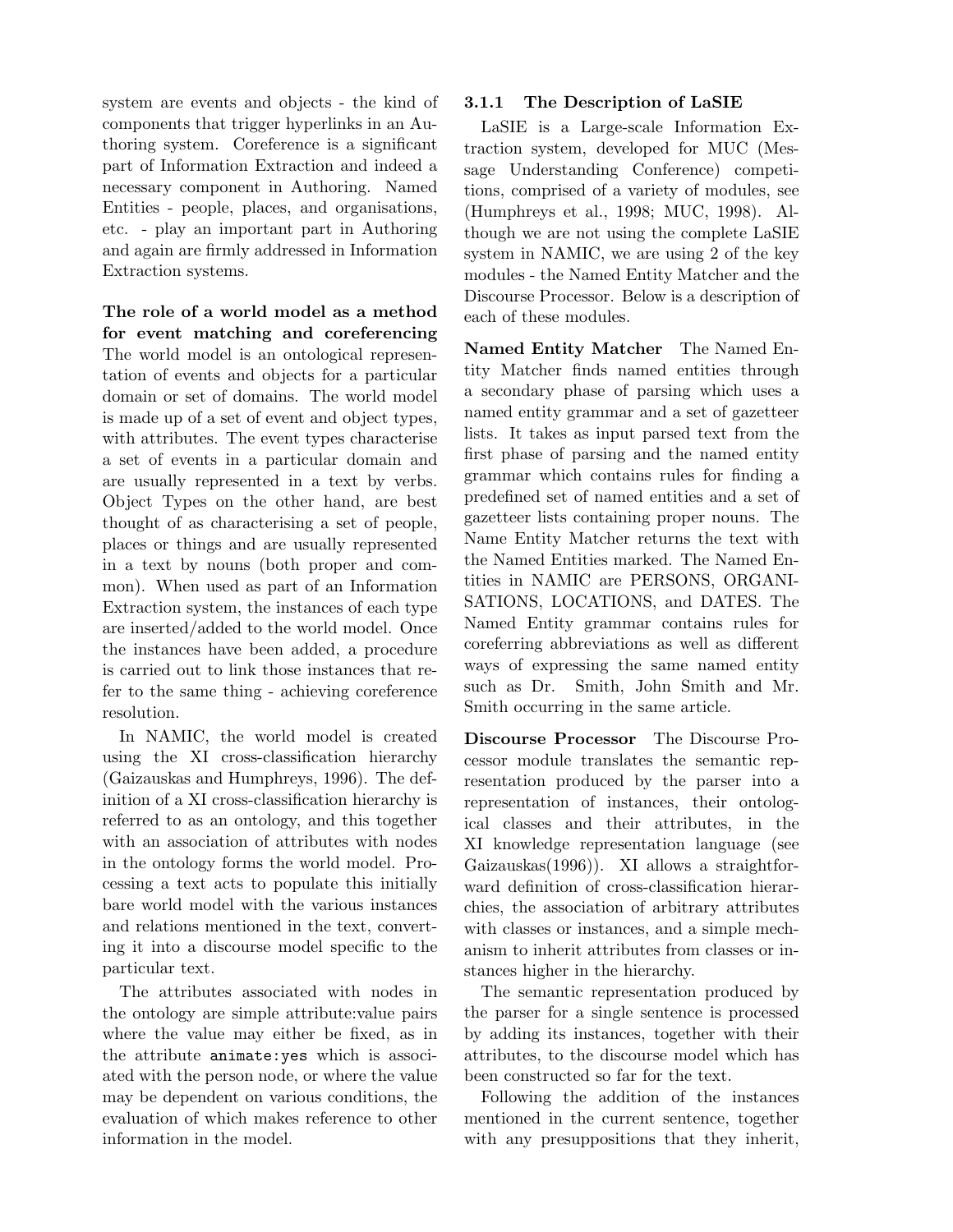system are events and objects - the kind of components that trigger hyperlinks in an Authoring system. Coreference is a significant part of Information Extraction and indeed a necessary component in Authoring. Named Entities - people, places, and organisations, etc. - play an important part in Authoring and again are firmly addressed in Information Extraction systems.

The role of a world model as a method for event matching and coreferencing The world model is an ontological representation of events and objects for a particular domain or set of domains. The world model is made up of a set of event and object types, with attributes. The event types characterise a set of events in a particular domain and are usually represented in a text by verbs. Object Types on the other hand, are best thought of as characterising a set of people, places or things and are usually represented in a text by nouns (both proper and common). When used as part of an Information Extraction system, the instances of each type are inserted/added to the world model. Once the instances have been added, a procedure is carried out to link those instances that refer to the same thing - achieving coreference resolution.

In NAMIC, the world model is created using the XI cross-classification hierarchy (Gaizauskas and Humphreys, 1996). The definition of a XI cross-classification hierarchy is referred to as an ontology, and this together with an association of attributes with nodes in the ontology forms the world model. Processing a text acts to populate this initially bare world model with the various instances and relations mentioned in the text, converting it into a discourse model specific to the particular text.

The attributes associated with nodes in the ontology are simple attribute:value pairs where the value may either be fixed, as in the attribute animate:yes which is associated with the person node, or where the value may be dependent on various conditions, the evaluation of which makes reference to other information in the model.

### 3.1.1 The Description of LaSIE

LaSIE is a Large-scale Information Extraction system, developed for MUC (Message Understanding Conference) competitions, comprised of a variety of modules, see (Humphreys et al., 1998; MUC, 1998). Although we are not using the complete LaSIE system in NAMIC, we are using 2 of the key modules - the Named Entity Matcher and the Discourse Processor. Below is a description of each of these modules.

Named Entity Matcher The Named Entity Matcher finds named entities through a secondary phase of parsing which uses a named entity grammar and a set of gazetteer lists. It takes as input parsed text from the first phase of parsing and the named entity grammar which contains rules for finding a predefined set of named entities and a set of gazetteer lists containing proper nouns. The Name Entity Matcher returns the text with the Named Entities marked. The Named Entities in NAMIC are PERSONS, ORGANI-SATIONS, LOCATIONS, and DATES. The Named Entity grammar contains rules for coreferring abbreviations as well as different ways of expressing the same named entity such as Dr. Smith, John Smith and Mr. Smith occurring in the same article.

Discourse Processor The Discourse Processor module translates the semantic representation produced by the parser into a representation of instances, their ontological classes and their attributes, in the XI knowledge representation language (see Gaizauskas(1996)). XI allows a straightforward definition of cross-classification hierarchies, the association of arbitrary attributes with classes or instances, and a simple mechanism to inherit attributes from classes or instances higher in the hierarchy.

The semantic representation produced by the parser for a single sentence is processed by adding its instances, together with their attributes, to the discourse model which has been constructed so far for the text.

Following the addition of the instances mentioned in the current sentence, together with any presuppositions that they inherit,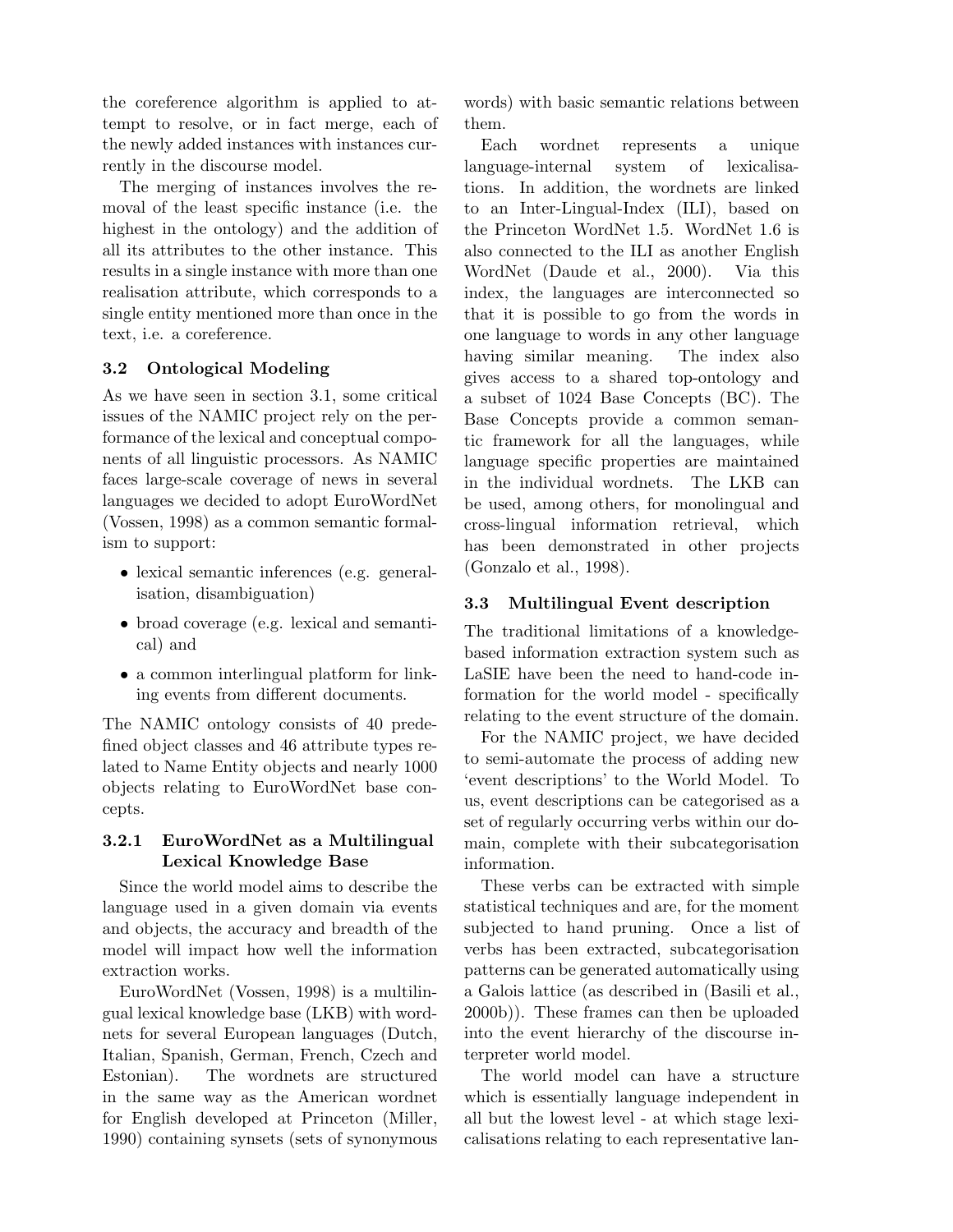the coreference algorithm is applied to attempt to resolve, or in fact merge, each of the newly added instances with instances currently in the discourse model.

The merging of instances involves the removal of the least specific instance (i.e. the highest in the ontology) and the addition of all its attributes to the other instance. This results in a single instance with more than one realisation attribute, which corresponds to a single entity mentioned more than once in the text, i.e. a coreference.

## 3.2 Ontological Modeling

As we have seen in section 3.1, some critical issues of the NAMIC project rely on the performance of the lexical and conceptual components of all linguistic processors. As NAMIC faces large-scale coverage of news in several languages we decided to adopt EuroWordNet (Vossen, 1998) as a common semantic formalism to support:

- lexical semantic inferences (e.g. generalisation, disambiguation)
- broad coverage (e.g. lexical and semantical) and
- a common interlingual platform for linking events from different documents.

The NAMIC ontology consists of 40 predefined object classes and 46 attribute types related to Name Entity objects and nearly 1000 objects relating to EuroWordNet base concepts.

### 3.2.1 EuroWordNet as a Multilingual Lexical Knowledge Base

Since the world model aims to describe the language used in a given domain via events and objects, the accuracy and breadth of the model will impact how well the information extraction works.

EuroWordNet (Vossen, 1998) is a multilingual lexical knowledge base (LKB) with wordnets for several European languages (Dutch, Italian, Spanish, German, French, Czech and Estonian). The wordnets are structured in the same way as the American wordnet for English developed at Princeton (Miller, 1990) containing synsets (sets of synonymous words) with basic semantic relations between them.

Each wordnet represents a unique language-internal system of lexicalisations. In addition, the wordnets are linked to an Inter-Lingual-Index (ILI), based on the Princeton WordNet 1.5. WordNet 1.6 is also connected to the ILI as another English WordNet (Daude et al., 2000). Via this index, the languages are interconnected so that it is possible to go from the words in one language to words in any other language having similar meaning. The index also gives access to a shared top-ontology and a subset of 1024 Base Concepts (BC). The Base Concepts provide a common semantic framework for all the languages, while language specific properties are maintained in the individual wordnets. The LKB can be used, among others, for monolingual and cross-lingual information retrieval, which has been demonstrated in other projects (Gonzalo et al., 1998).

### 3.3 Multilingual Event description

The traditional limitations of a knowledgebased information extraction system such as LaSIE have been the need to hand-code information for the world model - specifically relating to the event structure of the domain.

For the NAMIC project, we have decided to semi-automate the process of adding new 'event descriptions' to the World Model. To us, event descriptions can be categorised as a set of regularly occurring verbs within our domain, complete with their subcategorisation information.

These verbs can be extracted with simple statistical techniques and are, for the moment subjected to hand pruning. Once a list of verbs has been extracted, subcategorisation patterns can be generated automatically using a Galois lattice (as described in (Basili et al., 2000b)). These frames can then be uploaded into the event hierarchy of the discourse interpreter world model.

The world model can have a structure which is essentially language independent in all but the lowest level - at which stage lexicalisations relating to each representative lan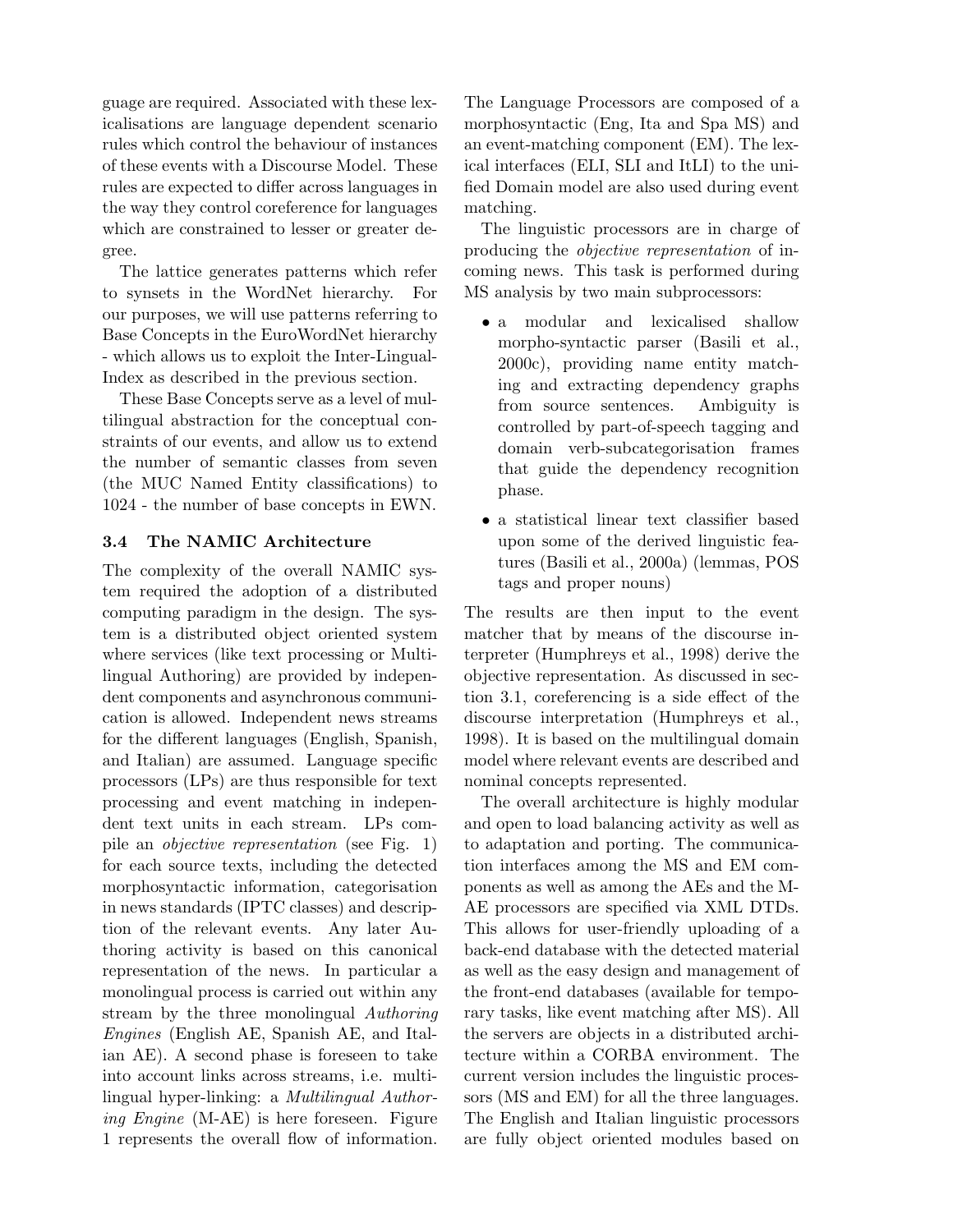guage are required. Associated with these lexicalisations are language dependent scenario rules which control the behaviour of instances of these events with a Discourse Model. These rules are expected to differ across languages in the way they control coreference for languages which are constrained to lesser or greater degree.

The lattice generates patterns which refer to synsets in the WordNet hierarchy. For our purposes, we will use patterns referring to Base Concepts in the EuroWordNet hierarchy - which allows us to exploit the Inter-Lingual-Index as described in the previous section.

These Base Concepts serve as a level of multilingual abstraction for the conceptual constraints of our events, and allow us to extend the number of semantic classes from seven (the MUC Named Entity classifications) to 1024 - the number of base concepts in EWN.

### 3.4 The NAMIC Architecture

The complexity of the overall NAMIC system required the adoption of a distributed computing paradigm in the design. The system is a distributed object oriented system where services (like text processing or Multilingual Authoring) are provided by independent components and asynchronous communication is allowed. Independent news streams for the different languages (English, Spanish, and Italian) are assumed. Language specific processors (LPs) are thus responsible for text processing and event matching in independent text units in each stream. LPs compile an objective representation (see Fig. 1) for each source texts, including the detected morphosyntactic information, categorisation in news standards (IPTC classes) and description of the relevant events. Any later Authoring activity is based on this canonical representation of the news. In particular a monolingual process is carried out within any stream by the three monolingual Authoring Engines (English AE, Spanish AE, and Italian AE). A second phase is foreseen to take into account links across streams, i.e. multilingual hyper-linking: a Multilingual Authoring Engine (M-AE) is here foreseen. Figure 1 represents the overall flow of information.

The Language Processors are composed of a morphosyntactic (Eng, Ita and Spa MS) and an event-matching component (EM). The lexical interfaces (ELI, SLI and ItLI) to the unified Domain model are also used during event matching.

The linguistic processors are in charge of producing the objective representation of incoming news. This task is performed during MS analysis by two main subprocessors:

- a modular and lexicalised shallow morpho-syntactic parser (Basili et al., 2000c), providing name entity matching and extracting dependency graphs from source sentences. Ambiguity is controlled by part-of-speech tagging and domain verb-subcategorisation frames that guide the dependency recognition phase.
- a statistical linear text classifier based upon some of the derived linguistic features (Basili et al., 2000a) (lemmas, POS tags and proper nouns)

The results are then input to the event matcher that by means of the discourse interpreter (Humphreys et al., 1998) derive the objective representation. As discussed in section 3.1, coreferencing is a side effect of the discourse interpretation (Humphreys et al., 1998). It is based on the multilingual domain model where relevant events are described and nominal concepts represented.

The overall architecture is highly modular and open to load balancing activity as well as to adaptation and porting. The communication interfaces among the MS and EM components as well as among the AEs and the M-AE processors are specified via XML DTDs. This allows for user-friendly uploading of a back-end database with the detected material as well as the easy design and management of the front-end databases (available for temporary tasks, like event matching after MS). All the servers are objects in a distributed architecture within a CORBA environment. The current version includes the linguistic processors (MS and EM) for all the three languages. The English and Italian linguistic processors are fully object oriented modules based on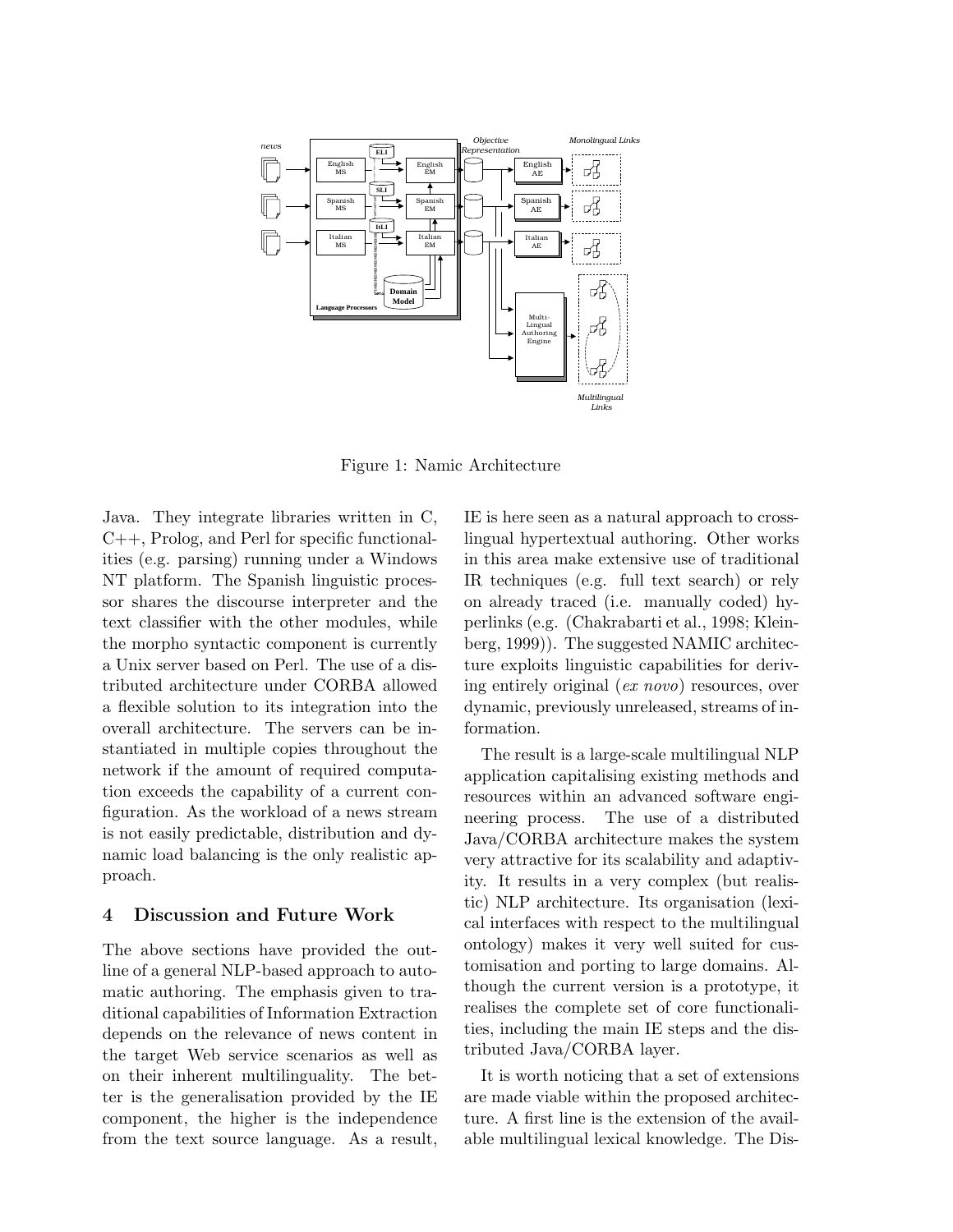

Figure 1: Namic Architecture

Java. They integrate libraries written in C, C++, Prolog, and Perl for specific functionalities (e.g. parsing) running under a Windows NT platform. The Spanish linguistic processor shares the discourse interpreter and the text classifier with the other modules, while the morpho syntactic component is currently a Unix server based on Perl. The use of a distributed architecture under CORBA allowed a flexible solution to its integration into the overall architecture. The servers can be instantiated in multiple copies throughout the network if the amount of required computation exceeds the capability of a current configuration. As the workload of a news stream is not easily predictable, distribution and dynamic load balancing is the only realistic approach.

#### 4 Discussion and Future Work

The above sections have provided the outline of a general NLP-based approach to automatic authoring. The emphasis given to traditional capabilities of Information Extraction depends on the relevance of news content in the target Web service scenarios as well as on their inherent multilinguality. The better is the generalisation provided by the IE component, the higher is the independence from the text source language. As a result, IE is here seen as a natural approach to crosslingual hypertextual authoring. Other works in this area make extensive use of traditional IR techniques (e.g. full text search) or rely on already traced (i.e. manually coded) hyperlinks (e.g. (Chakrabarti et al., 1998; Kleinberg, 1999)). The suggested NAMIC architecture exploits linguistic capabilities for deriving entirely original (ex novo) resources, over dynamic, previously unreleased, streams of information.

The result is a large-scale multilingual NLP application capitalising existing methods and resources within an advanced software engineering process. The use of a distributed Java/CORBA architecture makes the system very attractive for its scalability and adaptivity. It results in a very complex (but realistic) NLP architecture. Its organisation (lexical interfaces with respect to the multilingual ontology) makes it very well suited for customisation and porting to large domains. Although the current version is a prototype, it realises the complete set of core functionalities, including the main IE steps and the distributed Java/CORBA layer.

It is worth noticing that a set of extensions are made viable within the proposed architecture. A first line is the extension of the available multilingual lexical knowledge. The Dis